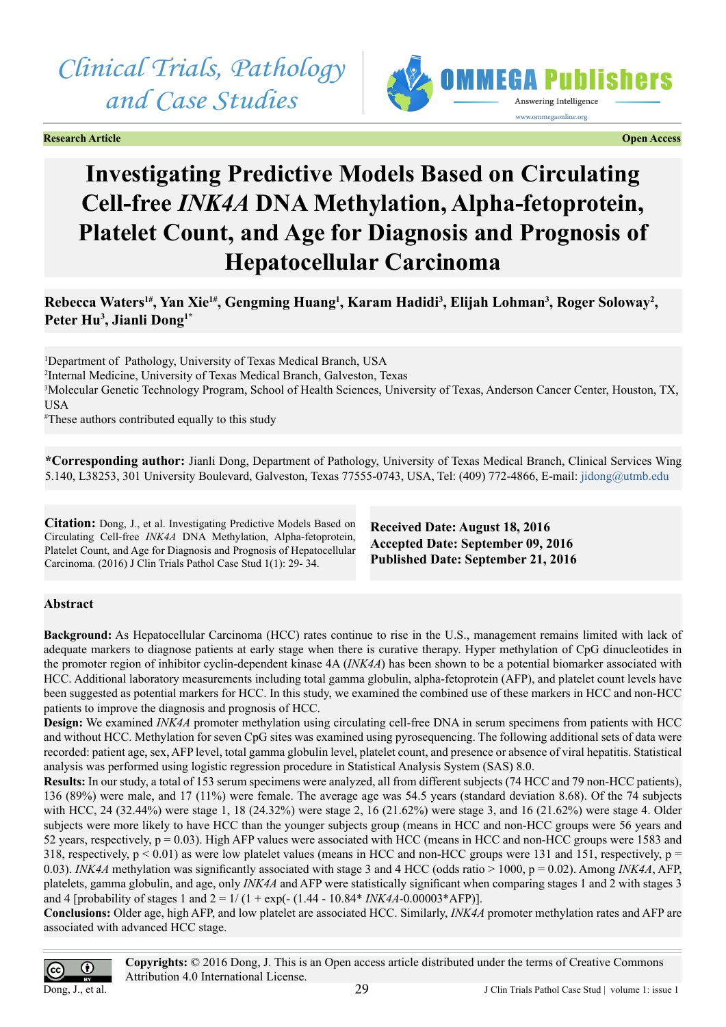**Research Article Open Access**



# **Investigating Predictive Models Based on Circulating Cell-free** *INK4A* **DNA Methylation, Alpha-fetoprotein, Platelet Count, and Age for Diagnosis and Prognosis of Hepatocellular Carcinoma**

**Rebecca Waters1#, Yan Xie1#, Gengming Huang1 , Karam Hadidi3 , Elijah Lohman3 , Roger Soloway2 , Peter Hu3 , Jianli Dong1\***

 Department of Pathology, University of Texas Medical Branch, USA Internal Medicine, University of Texas Medical Branch, Galveston, Texas Molecular Genetic Technology Program, School of Health Sciences, University of Texas, Anderson Cancer Center, Houston, TX, **USA** 

# These authors contributed equally to this study

**\*Corresponding author:** Jianli Dong, Department of Pathology, University of Texas Medical Branch, Clinical Services Wing 5.140, L38253, 301 University Boulevard, Galveston, Texas 77555-0743, USA, Tel: (409) 772-4866, E-mail: [jidong@utmb.edu](mailto:jidong@utmb.edu)

**Citation:** Dong, J., et al. Investigating Predictive Models Based on Circulating Cell-free *INK4A* DNA Methylation, Alpha-fetoprotein, Platelet Count, and Age for Diagnosis and Prognosis of Hepatocellular Carcinoma. (2016) J Clin Trials Pathol Case Stud 1(1): 29- 34.

**Received Date: August 18, 2016 Accepted Date: September 09, 2016 Published Date: September 21, 2016**

## **Abstract**

**Background:** As Hepatocellular Carcinoma (HCC) rates continue to rise in the U.S., management remains limited with lack of adequate markers to diagnose patients at early stage when there is curative therapy. Hyper methylation of CpG dinucleotides in the promoter region of inhibitor cyclin-dependent kinase 4A (*INK4A*) has been shown to be a potential biomarker associated with HCC. Additional laboratory measurements including total gamma globulin, alpha-fetoprotein (AFP), and platelet count levels have been suggested as potential markers for HCC. In this study, we examined the combined use of these markers in HCC and non-HCC patients to improve the diagnosis and prognosis of HCC.

**Design:** We examined *INK4A* promoter methylation using circulating cell-free DNA in serum specimens from patients with HCC and without HCC. Methylation for seven CpG sites was examined using pyrosequencing. The following additional sets of data were recorded: patient age, sex, AFP level, total gamma globulin level, platelet count, and presence or absence of viral hepatitis. Statistical analysis was performed using logistic regression procedure in Statistical Analysis System (SAS) 8.0.

**Results:** In our study, a total of 153 serum specimens were analyzed, all from different subjects (74 HCC and 79 non-HCC patients), 136 (89%) were male, and 17 (11%) were female. The average age was 54.5 years (standard deviation 8.68). Of the 74 subjects with HCC, 24 (32.44%) were stage 1, 18 (24.32%) were stage 2, 16 (21.62%) were stage 3, and 16 (21.62%) were stage 4. Older subjects were more likely to have HCC than the younger subjects group (means in HCC and non-HCC groups were 56 years and 52 years, respectively,  $p = 0.03$ ). High AFP values were associated with HCC (means in HCC and non-HCC groups were 1583 and 318, respectively,  $p < 0.01$ ) as were low platelet values (means in HCC and non-HCC groups were 131 and 151, respectively,  $p =$ 0.03). *INK4A* methylation was significantly associated with stage 3 and 4 HCC (odds ratio > 1000, p = 0.02). Among *INK4A*, AFP, platelets, gamma globulin, and age, only *INK4A* and AFP were statistically significant when comparing stages 1 and 2 with stages 3 and 4 [probability of stages 1 and  $2 = 1/(1 + \exp(-1.44 - 10.84 \cdot \text{INK}4A - 0.00003 \cdot \text{APF})$ ].

**Conclusions:** Older age, high AFP, and low platelet are associated HCC. Similarly, *INK4A* promoter methylation rates and AFP are associated with advanced HCC stage.

 $\odot$ Dong, J., et al. **Copyrights:** © 2016 Dong, J. This is an Open access article distributed under the terms of Creative Commons Attribution 4.0 International License.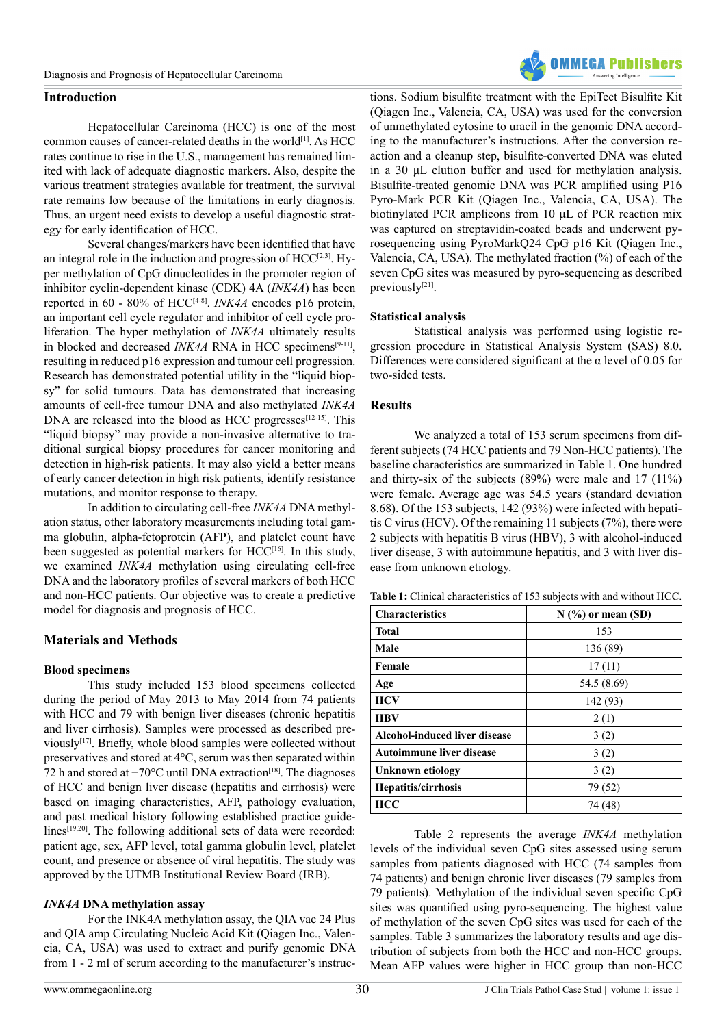## **Introduction**

Hepatocellular Carcinoma (HCC) is one of the most common causes of cancer-related deaths in the world<sup>[\[1\]](#page-4-0)</sup>. As HCC rates continue to rise in the U.S., management has remained limited with lack of adequate diagnostic markers. Also, despite the various treatment strategies available for treatment, the survival rate remains low because of the limitations in early diagnosis. Thus, an urgent need exists to develop a useful diagnostic strategy for early identification of HCC.

Several changes/markers have been identified that have an integral role in the induction and progression of  $HCC^{[2,3]}$ . Hyper methylation of CpG dinucleotides in the promoter region of inhibitor cyclin-dependent kinase (CDK) 4A (*INK4A*) has been reported in 60 - 80% of HCC<sup>[4-8]</sup>. *INK4A* encodes p16 protein, an important cell cycle regulator and inhibitor of cell cycle proliferation. The hyper methylation of *INK4A* ultimately results in blocked and decreased *INK4A* RNA in HCC specimens<sup>[\[9-11\]](#page-4-3)</sup>. resulting in reduced p16 expression and tumour cell progression. Research has demonstrated potential utility in the "liquid biopsy" for solid tumours. Data has demonstrated that increasing amounts of cell-free tumour DNA and also methylated *INK4A* DNA are released into the blood as HCC progresses<sup>[\[12-15\]](#page-4-4)</sup>. This "liquid biopsy" may provide a non-invasive alternative to traditional surgical biopsy procedures for cancer monitoring and detection in high-risk patients. It may also yield a better means of early cancer detection in high risk patients, identify resistance mutations, and monitor response to therapy.

In addition to circulating cell-free *INK4A* DNA methylation status, other laboratory measurements including total gamma globulin, alpha-fetoprotein (AFP), and platelet count have been suggested as potential markers for HCC<sup>[\[16\]](#page-4-5)</sup>. In this study, we examined *INK4A* methylation using circulating cell-free DNA and the laboratory profiles of several markers of both HCC and non-HCC patients. Our objective was to create a predictive model for diagnosis and prognosis of HCC.

## **Materials and Methods**

#### **Blood specimens**

This study included 153 blood specimens collected during the period of May 2013 to May 2014 from 74 patients with HCC and 79 with benign liver diseases (chronic hepatitis and liver cirrhosis). Samples were processed as described previousl[y\[17\]](#page-4-6). Briefly, whole blood samples were collected without preservatives and stored at 4°C, serum was then separated within 72 h and stored at −70°C until DNA extraction<sup>[18]</sup>. The diagnoses of HCC and benign liver disease (hepatitis and cirrhosis) were based on imaging characteristics, AFP, pathology evaluation, and past medical history following established practice guidelines<sup>[19,20]</sup>. The following additional sets of data were recorded: patient age, sex, AFP level, total gamma globulin level, platelet count, and presence or absence of viral hepatitis. The study was approved by the UTMB Institutional Review Board (IRB).

#### *INK4A* **DNA methylation assay**

For the INK4A methylation assay, the QIA vac 24 Plus and QIA amp Circulating Nucleic Acid Kit (Qiagen Inc., Valencia, CA, USA) was used to extract and purify genomic DNA from 1 - 2 ml of serum according to the manufacturer's instructions. Sodium bisulfite treatment with the EpiTect Bisulfite Kit (Qiagen Inc., Valencia, CA, USA) was used for the conversion of unmethylated cytosine to uracil in the genomic DNA according to the manufacturer's instructions. After the conversion reaction and a cleanup step, bisulfite-converted DNA was eluted in a 30 μL elution buffer and used for methylation analysis. Bisulfite-treated genomic DNA was PCR amplified using P16 Pyro-Mark PCR Kit (Qiagen Inc., Valencia, CA, USA). The biotinylated PCR amplicons from 10 μL of PCR reaction mix was captured on streptavidin-coated beads and underwent pyrosequencing using PyroMarkQ24 CpG p16 Kit (Qiagen Inc., Valencia, CA, USA). The methylated fraction (%) of each of the seven CpG sites was measured by pyro-sequencing as described previously<sup>[21]</sup>.

#### **Statistical analysis**

Statistical analysis was performed using logistic regression procedure in Statistical Analysis System (SAS) 8.0. Differences were considered significant at the  $\alpha$  level of 0.05 for two-sided tests.

## **Results**

We analyzed a total of 153 serum specimens from different subjects (74 HCC patients and 79 Non-HCC patients). The baseline characteristics are summarized in Table 1. One hundred and thirty-six of the subjects (89%) were male and 17 (11%) were female. Average age was 54.5 years (standard deviation 8.68). Of the 153 subjects, 142 (93%) were infected with hepatitis C virus (HCV). Of the remaining 11 subjects (7%), there were 2 subjects with hepatitis B virus (HBV), 3 with alcohol-induced liver disease, 3 with autoimmune hepatitis, and 3 with liver disease from unknown etiology.

|  | <b>Table 1:</b> Clinical characteristics of 153 subjects with and without HCC. |
|--|--------------------------------------------------------------------------------|
|--|--------------------------------------------------------------------------------|

| <b>Characteristics</b>          | $N$ (%) or mean (SD) |
|---------------------------------|----------------------|
| <b>Total</b>                    | 153                  |
| Male                            | 136 (89)             |
| Female                          | 17(11)               |
| Age                             | 54.5 (8.69)          |
| <b>HCV</b>                      | 142 (93)             |
| <b>HBV</b>                      | 2(1)                 |
| Alcohol-induced liver disease   | 3(2)                 |
| <b>Autoimmune liver disease</b> | 3(2)                 |
| Unknown etiology                | 3(2)                 |
| Hepatitis/cirrhosis             | 79 (52)              |
| <b>HCC</b>                      | 74 (48)              |

Table 2 represents the average *INK4A* methylation levels of the individual seven CpG sites assessed using serum samples from patients diagnosed with HCC (74 samples from 74 patients) and benign chronic liver diseases (79 samples from 79 patients). Methylation of the individual seven specific CpG sites was quantified using pyro-sequencing. The highest value of methylation of the seven CpG sites was used for each of the samples. Table 3 summarizes the laboratory results and age distribution of subjects from both the HCC and non-HCC groups. Mean AFP values were higher in HCC group than non-HCC

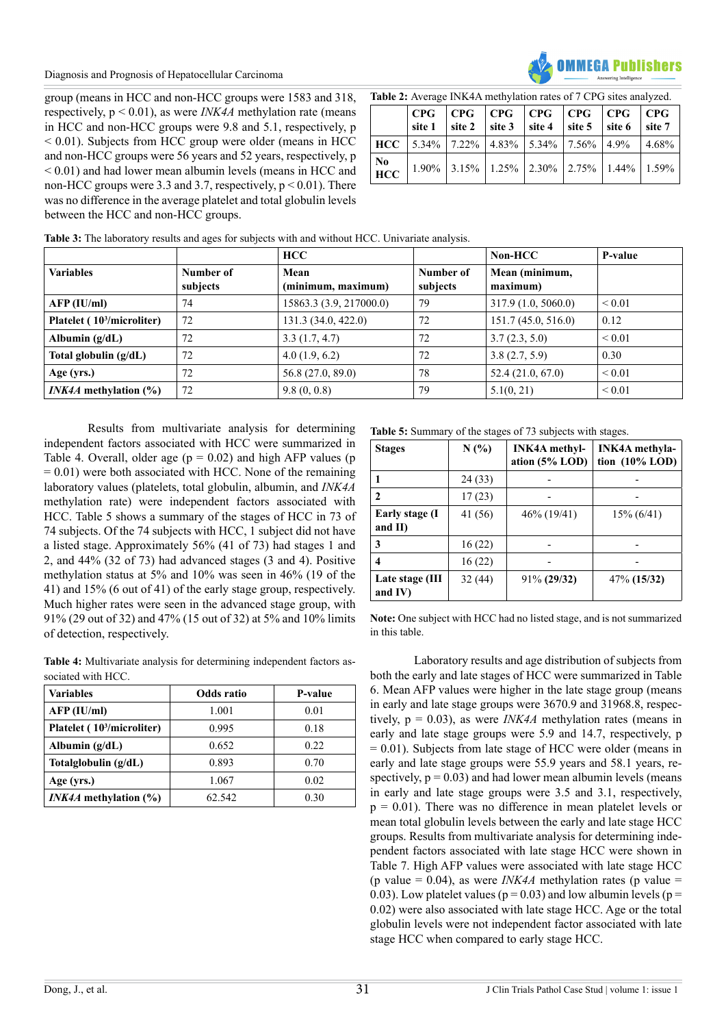group (means in HCC and non-HCC groups were 1583 and 318, respectively, p < 0.01), as were *INK4A* methylation rate (means in HCC and non-HCC groups were 9.8 and 5.1, respectively, p  $< 0.01$ ). Subjects from HCC group were older (means in HCC) and non-HCC groups were 56 years and 52 years, respectively, p  $< 0.01$ ) and had lower mean albumin levels (means in HCC and non-HCC groups were 3.3 and 3.7, respectively,  $p < 0.01$ ). There was no difference in the average platelet and total globulin levels between the HCC and non-HCC groups.



| <b>Table 2.</b> AVERAGE INNER INCLUVIATION TAKES OF THE STILLS analyzed. |        |        |        |                                                                              |  |        |                   |
|--------------------------------------------------------------------------|--------|--------|--------|------------------------------------------------------------------------------|--|--------|-------------------|
|                                                                          | site 1 | site 2 | site 3 | $CPG$ $CPG$ $CPG$ $CPG$ $CPG$ $CPG$<br>$\vert$ site 4 $\vert$ site 5 $\vert$ |  | site 6 | $ $ CPG<br>site 7 |
|                                                                          |        |        |        | <b>HCC</b>   5.34%   7.22%   4.83%   5.34%   7.56%   4.9%                    |  |        | 4.68%             |
| N <sub>0</sub><br><b>HCC</b>                                             |        |        |        | $1.90\%$   3.15%   1.25%   2.30%   2.75%   1.44%   1.59%                     |  |        |                   |

**TAJIZ: A: A** methylation rates of 2

| Table 3: The laboratory results and ages for subjects with and without HCC. Univariate analysis. |  |
|--------------------------------------------------------------------------------------------------|--|
|--------------------------------------------------------------------------------------------------|--|

|                                        |                       | <b>HCC</b>                 |                       | $Non-HCC$                  | P-value     |
|----------------------------------------|-----------------------|----------------------------|-----------------------|----------------------------|-------------|
| <b>Variables</b>                       | Number of<br>subjects | Mean<br>(minimum, maximum) | Number of<br>subjects | Mean (minimum,<br>maximum) |             |
| AFP (IU/ml)                            | 74                    | 15863.3 (3.9, 217000.0)    | 79                    | 317.9 (1.0, 5060.0)        | ${}_{0.01}$ |
| Platelet (10 <sup>3</sup> /microliter) | 72                    | 131.3 (34.0, 422.0)        | 72                    | 151.7 (45.0, 516.0)        | 0.12        |
| Albumin $(g/dL)$                       | 72                    | 3.3(1.7, 4.7)              | 72                    | 3.7(2.3, 5.0)              | ${}_{0.01}$ |
| Total globulin $(g/dL)$                | 72                    | 4.0(1.9, 6.2)              | 72                    | 3.8(2.7, 5.9)              | 0.30        |
| Age (yrs.)                             | 72                    | 56.8 (27.0, 89.0)          | 78                    | 52.4(21.0, 67.0)           | ${}_{0.01}$ |
| <i>INK4A</i> methylation $(\%)$        | 72                    | 9.8(0, 0.8)                | 79                    | 5.1(0, 21)                 | ${}_{0.01}$ |

Results from multivariate analysis for determining independent factors associated with HCC were summarized in Table 4. Overall, older age  $(p = 0.02)$  and high AFP values (p  $= 0.01$ ) were both associated with HCC. None of the remaining laboratory values (platelets, total globulin, albumin, and *INK4A* methylation rate) were independent factors associated with HCC. Table 5 shows a summary of the stages of HCC in 73 of 74 subjects. Of the 74 subjects with HCC, 1 subject did not have a listed stage. Approximately 56% (41 of 73) had stages 1 and 2, and 44% (32 of 73) had advanced stages (3 and 4). Positive methylation status at 5% and 10% was seen in 46% (19 of the 41) and 15% (6 out of 41) of the early stage group, respectively. Much higher rates were seen in the advanced stage group, with 91% (29 out of 32) and 47% (15 out of 32) at 5% and 10% limits of detection, respectively.

**Table 4:** Multivariate analysis for determining independent factors associated with HCC.

| <b>Variables</b>                | Odds ratio | P-value |
|---------------------------------|------------|---------|
| AFP (IU/ml)                     | 1.001      | 0.01    |
| Platelet $(103/microliter)$     | 0.995      | 0.18    |
| Albumin $(g/dL)$                | 0.652      | 0.22    |
| Totalglobulin $(g/dL)$          | 0.893      | 0.70    |
| Age (yrs.)                      | 1.067      | 0.02    |
| <i>INK4A</i> methylation $(\%)$ | 62.542     | 0.30    |

**Table 5:** Summary of the stages of 73 subjects with stages.

| <b>Stages</b>                | $N(\%)$ | <b>INK4A</b> methyl-<br>ation (5% LOD) | <b>INK4A</b> methyla-<br>tion $(10\%$ LOD) |
|------------------------------|---------|----------------------------------------|--------------------------------------------|
|                              | 24(33)  |                                        |                                            |
| 2                            | 17(23)  |                                        |                                            |
| Early stage (I<br>and $II$ ) | 41 (56) | 46\% (19/41)                           | $15\% (6/41)$                              |
| 3                            | 16(22)  |                                        |                                            |
| 4                            | 16(22)  |                                        |                                            |
| Late stage (III<br>and IV)   | 32(44)  | 91% (29/32)                            | 47% (15/32)                                |

**Note:** One subject with HCC had no listed stage, and is not summarized in this table.

Laboratory results and age distribution of subjects from both the early and late stages of HCC were summarized in Table 6. Mean AFP values were higher in the late stage group (means in early and late stage groups were 3670.9 and 31968.8, respectively, p = 0.03), as were *INK4A* methylation rates (means in early and late stage groups were 5.9 and 14.7, respectively, p = 0.01). Subjects from late stage of HCC were older (means in early and late stage groups were 55.9 years and 58.1 years, respectively,  $p = 0.03$ ) and had lower mean albumin levels (means in early and late stage groups were 3.5 and 3.1, respectively,  $p = 0.01$ ). There was no difference in mean platelet levels or mean total globulin levels between the early and late stage HCC groups. Results from multivariate analysis for determining independent factors associated with late stage HCC were shown in Table 7. High AFP values were associated with late stage HCC (p value =  $0.04$ ), as were *INK4A* methylation rates (p value = 0.03). Low platelet values ( $p = 0.03$ ) and low albumin levels ( $p = 0.03$ ) 0.02) were also associated with late stage HCC. Age or the total globulin levels were not independent factor associated with late stage HCC when compared to early stage HCC.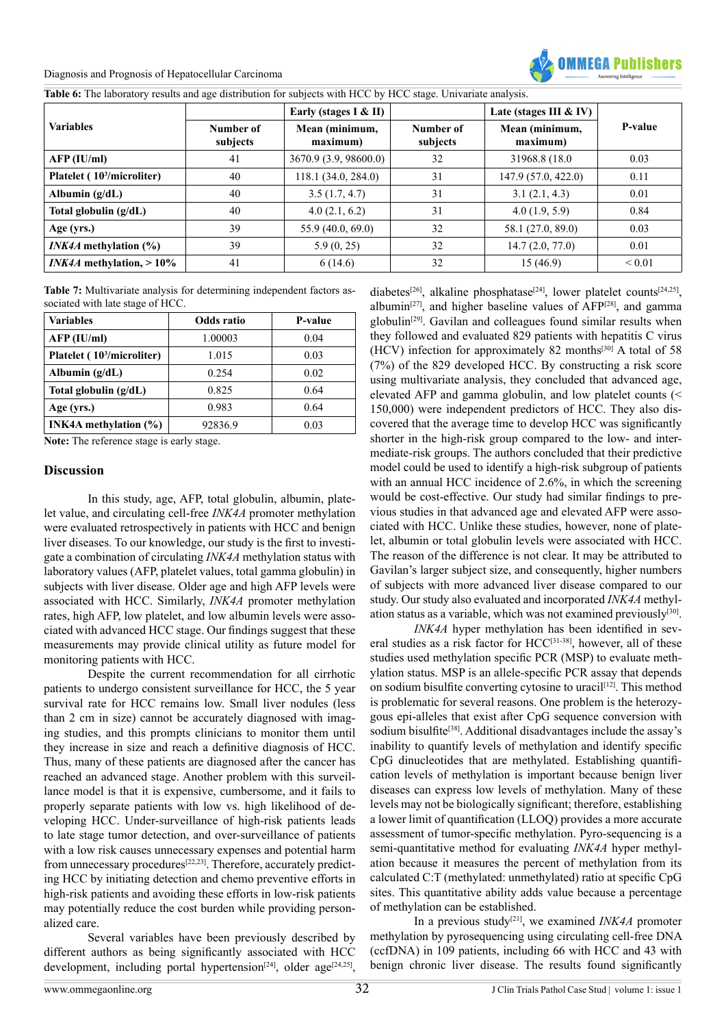Diagnosis and Prognosis of Hepatocellular Carcinoma



| Table 6: The laboratory results and age distribution for subjects with HCC by HCC stage. Univariate analysis. |                       |                            |                       |                            |             |
|---------------------------------------------------------------------------------------------------------------|-----------------------|----------------------------|-----------------------|----------------------------|-------------|
|                                                                                                               |                       | Early (stages $I & II$ )   |                       | Late (stages III $&$ IV)   |             |
| <b>Variables</b>                                                                                              | Number of<br>subjects | Mean (minimum,<br>maximum) | Number of<br>subjects | Mean (minimum,<br>maximum) | P-value     |
| AFP (IU/ml)                                                                                                   | 41                    | 3670.9 (3.9, 98600.0)      | 32                    | 31968.8 (18.0)             | 0.03        |
| Platelet $(103/microliter)$                                                                                   | 40                    | 118.1 (34.0, 284.0)        | 31                    | 147.9 (57.0, 422.0)        | 0.11        |
| Albumin $(g/dL)$                                                                                              | 40                    | 3.5(1.7, 4.7)              | 31                    | 3.1(2.1, 4.3)              | 0.01        |
| Total globulin $(g/dL)$                                                                                       | 40                    | 4.0(2.1, 6.2)              | 31                    | 4.0(1.9, 5.9)              | 0.84        |
| Age (yrs.)                                                                                                    | 39                    | 55.9(40.0, 69.0)           | 32                    | 58.1 (27.0, 89.0)          | 0.03        |
| <i>INK4A</i> methylation $(\%)$                                                                               | 39                    | 5.9(0, 25)                 | 32                    | 14.7(2.0, 77.0)            | 0.01        |
| <i>INK4A</i> methylation, $>10\%$                                                                             | 41                    | 6(14.6)                    | 32                    | 15(46.9)                   | ${}_{0.01}$ |

**Table 7:** Multivariate analysis for determining independent factors associated with late stage of HCC.

| <b>Variables</b>                | Odds ratio | P-value |
|---------------------------------|------------|---------|
| AFP (IU/ml)                     | 1.00003    | 0.04    |
| Platelet $(103/microliter)$     | 1.015      | 0.03    |
| Albumin $(g/dL)$                | 0.254      | 0.02    |
| Total globulin $(g/dL)$         | 0.825      | 0.64    |
| Age (yrs.)                      | 0.983      | 0.64    |
| <b>INK4A</b> methylation $(\%)$ | 92836.9    | 0.03    |

**Note:** The reference stage is early stage.

#### **Discussion**

In this study, age, AFP, total globulin, albumin, platelet value, and circulating cell-free *INK4A* promoter methylation were evaluated retrospectively in patients with HCC and benign liver diseases. To our knowledge, our study is the first to investigate a combination of circulating *INK4A* methylation status with laboratory values (AFP, platelet values, total gamma globulin) in subjects with liver disease. Older age and high AFP levels were associated with HCC. Similarly, *INK4A* promoter methylation rates, high AFP, low platelet, and low albumin levels were associated with advanced HCC stage. Our findings suggest that these measurements may provide clinical utility as future model for monitoring patients with HCC.

Despite the current recommendation for all cirrhotic patients to undergo consistent surveillance for HCC, the 5 year survival rate for HCC remains low. Small liver nodules (less than 2 cm in size) cannot be accurately diagnosed with imaging studies, and this prompts clinicians to monitor them until they increase in size and reach a definitive diagnosis of HCC. Thus, many of these patients are diagnosed after the cancer has reached an advanced stage. Another problem with this surveillance model is that it is expensive, cumbersome, and it fails to properly separate patients with low vs. high likelihood of developing HCC. Under-surveillance of high-risk patients leads to late stage tumor detection, and over-surveillance of patients with a low risk causes unnecessary expenses and potential harm from unnecessary procedures<sup>[22,23]</sup>. Therefore, accurately predicting HCC by initiating detection and chemo preventive efforts in high-risk patients and avoiding these efforts in low-risk patients may potentially reduce the cost burden while providing personalized care.

Several variables have been previously described by different authors as being significantly associated with HCC development, including portal hypertension<sup>[24]</sup>, older age<sup>[24,25]</sup>,

diabetes<sup>[26]</sup>, alkaline phosphatase<sup>[24]</sup>, lower platelet counts<sup>[24,25]</sup>, albumin<sup>[27]</sup>, and higher baseline values of AFP<sup>[\[28\]](#page-5-3)</sup>, and gamma globulin<sup>[29]</sup>. Gavilan and colleagues found similar results when they followed and evaluated 829 patients with hepatitis C virus (HCV) infection for approximately 82 months<sup>[30]</sup> A total of 58 (7%) of the 829 developed HCC. By constructing a risk score using multivariate analysis, they concluded that advanced age, elevated AFP and gamma globulin, and low platelet counts (< 150,000) were independent predictors of HCC. They also discovered that the average time to develop HCC was significantly shorter in the high-risk group compared to the low- and intermediate-risk groups. The authors concluded that their predictive model could be used to identify a high-risk subgroup of patients with an annual HCC incidence of 2.6%, in which the screening would be cost-effective. Our study had similar findings to previous studies in that advanced age and elevated AFP were associated with HCC. Unlike these studies, however, none of platelet, albumin or total globulin levels were associated with HCC. The reason of the difference is not clear. It may be attributed to Gavilan's larger subject size, and consequently, higher numbers of subjects with more advanced liver disease compared to our study. Our study also evaluated and incorporated *INK4A* methylation status as a variable, which was not examined previously<sup>[30]</sup>.

*INK4A* hyper methylation has been identified in several studies as a risk factor for HCC<sup>[31-38]</sup>, however, all of these studies used methylation specific PCR (MSP) to evaluate methylation status. MSP is an allele-specific PCR assay that depends on sodium bisulfite converting cytosine to uracil<sup>[12]</sup>. This method is problematic for several reasons. One problem is the heterozygous epi-alleles that exist after CpG sequence conversion with sodium bisulfite<sup>[\[38\]](#page-5-7)</sup>. Additional disadvantages include the assay's inability to quantify levels of methylation and identify specific CpG dinucleotides that are methylated. Establishing quantification levels of methylation is important because benign liver diseases can express low levels of methylation. Many of these levels may not be biologically significant; therefore, establishing a lower limit of quantification (LLOQ) provides a more accurate assessment of tumor-specific methylation. Pyro-sequencing is a semi-quantitative method for evaluating *INK4A* hyper methylation because it measures the percent of methylation from its calculated C:T (methylated: unmethylated) ratio at specific CpG sites. This quantitative ability adds value because a percentage of methylation can be established.

In a previous study[\[21\]](#page-4-9), we examined *INK4A* promoter methylation by pyrosequencing using circulating cell-free DNA (ccfDNA) in 109 patients, including 66 with HCC and 43 with benign chronic liver disease. The results found significantly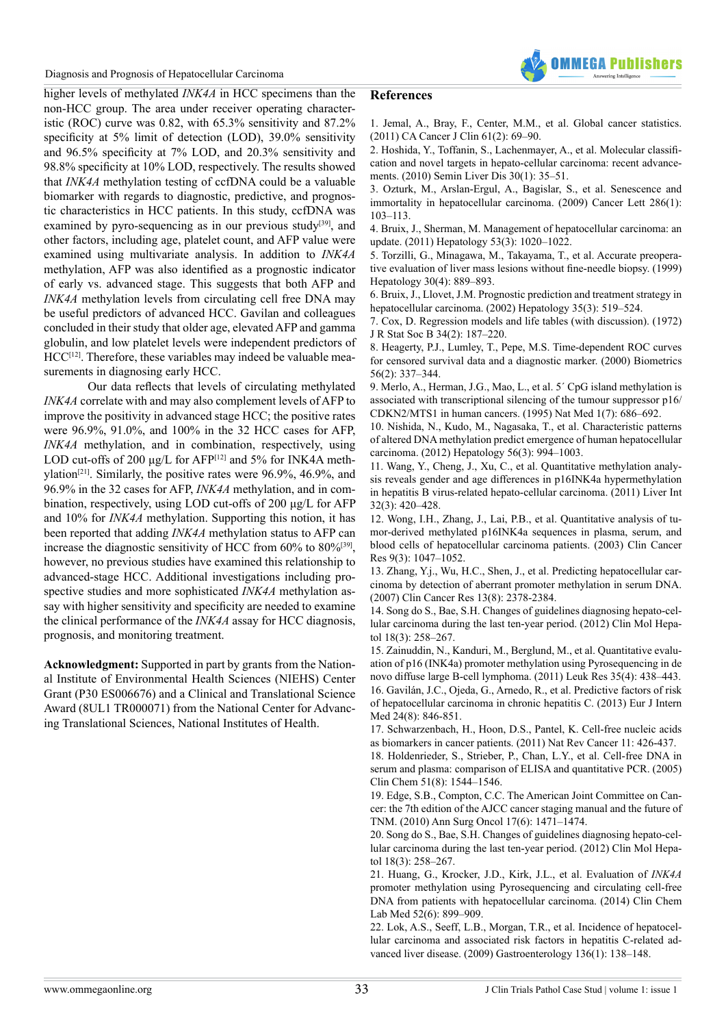#### Diagnosis and Prognosis of Hepatocellular Carcinoma



higher levels of methylated *INK4A* in HCC specimens than the non-HCC group. The area under receiver operating characteristic (ROC) curve was 0.82, with 65.3% sensitivity and 87.2% specificity at 5% limit of detection (LOD), 39.0% sensitivity and 96.5% specificity at 7% LOD, and 20.3% sensitivity and 98.8% specificity at 10% LOD, respectively. The results showed that *INK4A* methylation testing of ccfDNA could be a valuable biomarker with regards to diagnostic, predictive, and prognostic characteristics in HCC patients. In this study, ccfDNA was examined by pyro-sequencing as in our previous study<sup>[39]</sup>, and other factors, including age, platelet count, and AFP value were examined using multivariate analysis. In addition to *INK4A* methylation, AFP was also identified as a prognostic indicator of early vs. advanced stage. This suggests that both AFP and *INK4A* methylation levels from circulating cell free DNA may be useful predictors of advanced HCC. Gavilan and colleagues concluded in their study that older age, elevated AFP and gamma globulin, and low platelet levels were independent predictors of HCC<sup>[\[12\]](#page-4-4)</sup>. Therefore, these variables may indeed be valuable measurements in diagnosing early HCC.

Our data reflects that levels of circulating methylated *INK4A* correlate with and may also complement levels of AFP to improve the positivity in advanced stage HCC; the positive rates were 96.9%, 91.0%, and 100% in the 32 HCC cases for AFP, *INK4A* methylation, and in combination, respectively, using LOD cut-offs of 200 μg/L for AFP<sup>[12]</sup> and 5% for INK4A meth-ylation<sup>[\[21\]](#page-4-9)</sup>. Similarly, the positive rates were  $96.9\%$ ,  $46.9\%$ , and 96.9% in the 32 cases for AFP, *INK4A* methylation, and in combination, respectively, using LOD cut-offs of 200 μg/L for AFP and 10% for *INK4A* methylation. Supporting this notion, it has been reported that adding *INK4A* methylation status to AFP can increase the diagnostic sensitivity of HCC from  $60\%$  to  $80\%$ <sup>[39]</sup>, however, no previous studies have examined this relationship to advanced-stage HCC. Additional investigations including prospective studies and more sophisticated *INK4A* methylation assay with higher sensitivity and specificity are needed to examine the clinical performance of the *INK4A* assay for HCC diagnosis, prognosis, and monitoring treatment.

**Acknowledgment:** Supported in part by grants from the National Institute of Environmental Health Sciences (NIEHS) Center Grant (P30 ES006676) and a Clinical and Translational Science Award (8UL1 TR000071) from the National Center for Advancing Translational Sciences, National Institutes of Health.

### **References**

<span id="page-4-0"></span>1. [Jemal, A., Bray, F., Center, M.M., et al. Global cancer statistics.](http://www.ncbi.nlm.nih.gov/pubmed/21296855) [\(2011\) CA Cancer J Clin 61\(2\): 69–90.](http://www.ncbi.nlm.nih.gov/pubmed/21296855)

<span id="page-4-1"></span>2. [Hoshida, Y., Toffanin, S., Lachenmayer, A., et al. Molecular classifi](http://www.ncbi.nlm.nih.gov/pubmed/20175032)[cation and novel targets in hepato-cellular carcinoma: recent advance](http://www.ncbi.nlm.nih.gov/pubmed/20175032)[ments. \(2010\) Semin Liver Dis 30\(1\): 35–51.](http://www.ncbi.nlm.nih.gov/pubmed/20175032)

3. [Ozturk, M., Arslan-Ergul, A., Bagislar, S., et al. Senescence and](http://www.ncbi.nlm.nih.gov/pubmed/19070423) [immortality in hepatocellular carcinoma. \(2009\) Cancer Lett 286\(1\):](http://www.ncbi.nlm.nih.gov/pubmed/19070423) [103–113.](http://www.ncbi.nlm.nih.gov/pubmed/19070423)

<span id="page-4-2"></span>4. [Bruix, J., Sherman, M. Management of hepatocellular carcinoma: an](http://www.ncbi.nlm.nih.gov/pubmed/21374666) [update. \(2011\) Hepatology 53\(3\): 1020–1022.](http://www.ncbi.nlm.nih.gov/pubmed/21374666)

5. [Torzilli, G., Minagawa, M., Takayama, T., et al. Accurate preopera](http://www.ncbi.nlm.nih.gov/pubmed/10498639)[tive evaluation of liver mass lesions without fine-needle biopsy. \(1999\)](http://www.ncbi.nlm.nih.gov/pubmed/10498639) [Hepatology 30\(4\): 889–893.](http://www.ncbi.nlm.nih.gov/pubmed/10498639) 

6. [Bruix, J., Llovet, J.M. Prognostic prediction and treatment strategy in](http://www.ncbi.nlm.nih.gov/pubmed/11870363) [hepatocellular carcinoma. \(2002\) Hepatology 35\(3\): 519–524.](http://www.ncbi.nlm.nih.gov/pubmed/11870363)

7. [Cox, D. Regression models and life tables \(with discussion\). \(1972\)](https://www.jstor.org/stable/2985181?seq=1#page_scan_tab_contents) [J R Stat Soc B 34\(2\): 187–220.](https://www.jstor.org/stable/2985181?seq=1#page_scan_tab_contents)

8. [Heagerty, P.J., Lumley, T., Pepe, M.S. Time-dependent ROC curves](http://www.ncbi.nlm.nih.gov/pubmed/10877287) [for censored survival data and a diagnostic marker. \(2000\) Biometrics](http://www.ncbi.nlm.nih.gov/pubmed/10877287) [56\(2\): 337–344.](http://www.ncbi.nlm.nih.gov/pubmed/10877287)

<span id="page-4-3"></span>9[. Merlo, A., Herman, J.G., Mao, L., et al. 5´ CpG island methylation is](http://www.ncbi.nlm.nih.gov/pubmed/7585152) [associated with transcriptional silencing of the tumour suppressor p16/](http://www.ncbi.nlm.nih.gov/pubmed/7585152) [CDKN2/MTS1 in human cancers. \(1995\) Nat Med 1\(7\): 686–692.](http://www.ncbi.nlm.nih.gov/pubmed/7585152)

10. [Nishida, N., Kudo, M., Nagasaka, T., et al. Characteristic patterns](http://www.ncbi.nlm.nih.gov/pubmed/22407776) [of altered DNA methylation predict emergence of human hepatocellular](http://www.ncbi.nlm.nih.gov/pubmed/22407776) [carcinoma. \(2012\) Hepatology 56\(3\): 994–1003.](http://www.ncbi.nlm.nih.gov/pubmed/22407776)

11. [Wang, Y., Cheng, J., Xu, C., et al. Quantitative methylation analy](http://www.ncbi.nlm.nih.gov/pubmed/22192146)[sis reveals gender and age differences in p16INK4a hypermethylation](http://www.ncbi.nlm.nih.gov/pubmed/22192146) [in hepatitis B virus-related hepato-cellular carcinoma. \(2011\) Liver Int](http://www.ncbi.nlm.nih.gov/pubmed/22192146) [32\(3\): 420–428.](http://www.ncbi.nlm.nih.gov/pubmed/22192146) 

<span id="page-4-4"></span>12. [Wong, I.H., Zhang, J., Lai, P.B., et al. Quantitative analysis of tu](http://www.ncbi.nlm.nih.gov/pubmed/12631605)[mor-derived methylated p16INK4a sequences in plasma, serum, and](http://www.ncbi.nlm.nih.gov/pubmed/12631605) [blood cells of hepatocellular carcinoma patients. \(2003\) Clin Cancer](http://www.ncbi.nlm.nih.gov/pubmed/12631605) [Res 9\(3\): 1047–1052.](http://www.ncbi.nlm.nih.gov/pubmed/12631605) 

13. [Zhang, Y.j., Wu, H.C., Shen, J., et al. Predicting hepatocellular car](http://www.ncbi.nlm.nih.gov/pubmed/17438096)[cinoma by detection of aberrant promoter methylation in serum DNA.](http://www.ncbi.nlm.nih.gov/pubmed/17438096) [\(2007\) Clin Cancer Res 13\(8\): 2378-2384.](http://www.ncbi.nlm.nih.gov/pubmed/17438096) 

14. [Song do S., Bae, S.H. Changes of guidelines diagnosing hepato-cel](http://www.ncbi.nlm.nih.gov/pmc/articles/PMC3467428/)[lular carcinoma during the last ten-year period. \(2012\) Clin Mol Hepa](http://www.ncbi.nlm.nih.gov/pmc/articles/PMC3467428/)[tol 18\(3\): 258–267.](http://www.ncbi.nlm.nih.gov/pmc/articles/PMC3467428/)

<span id="page-4-5"></span>15. [Zainuddin, N., Kanduri, M., Berglund, M., et al. Quantitative evalu](http://www.ncbi.nlm.nih.gov/pubmed/21035853)[ation of p16 \(INK4a\) promoter methylation using Pyrosequencing in de](http://www.ncbi.nlm.nih.gov/pubmed/21035853) [novo diffuse large B-cell lymphoma. \(2011\) Leuk Res 35\(4\): 438–443.](http://www.ncbi.nlm.nih.gov/pubmed/21035853) 16. [Gavilán, J.C., Ojeda, G., Arnedo, R., et al. Predictive factors of risk](http://www.ncbi.nlm.nih.gov/pubmed/23849588) [of hepatocellular carcinoma in chronic hepatitis C. \(2013\) Eur J Intern](http://www.ncbi.nlm.nih.gov/pubmed/23849588) [Med 24\(8\): 846-851.](http://www.ncbi.nlm.nih.gov/pubmed/23849588) 

<span id="page-4-6"></span>17. [Schwarzenbach, H., Hoon, D.S., Pantel, K. Cell-free nucleic acids](http://www.nature.com/nrc/journal/v11/n6/abs/nrc3066.html) [as biomarkers in cancer patients. \(2011\) Nat Rev Cancer 11: 426-437.](http://www.nature.com/nrc/journal/v11/n6/abs/nrc3066.html)

<span id="page-4-7"></span>18. [Holdenrieder, S., Strieber, P., Chan, L.Y., et al. Cell-free DNA in](http://www.ncbi.nlm.nih.gov/pubmed/16040855) [serum and plasma: comparison of ELISA and quantitative PCR. \(2005\)](http://www.ncbi.nlm.nih.gov/pubmed/16040855) [Clin Chem 51\(8\): 1544–1546.](http://www.ncbi.nlm.nih.gov/pubmed/16040855)

<span id="page-4-8"></span>19. [Edge, S.B., Compton, C.C. The American Joint Committee on Can](http://www.ncbi.nlm.nih.gov/pubmed/20180029)[cer: the 7th edition of the AJCC cancer staging manual and the future of](http://www.ncbi.nlm.nih.gov/pubmed/20180029) [TNM. \(2010\) Ann Surg Oncol 17\(6\): 1471–1474.](http://www.ncbi.nlm.nih.gov/pubmed/20180029)

20. [Song do S., Bae, S.H. Changes of guidelines diagnosing hepato-cel](http://www.ncbi.nlm.nih.gov/pmc/articles/PMC3467428/)[lular carcinoma during the last ten-year period. \(2012\) Clin Mol Hepa](http://www.ncbi.nlm.nih.gov/pmc/articles/PMC3467428/)[tol 18\(3\): 258–267.](http://www.ncbi.nlm.nih.gov/pmc/articles/PMC3467428/)

<span id="page-4-9"></span>21. [Huang, G., Krocker, J.D., Kirk, J.L., et al. Evaluation of](http://www.ncbi.nlm.nih.gov/pubmed/24406287) *INK4A* [promoter methylation using Pyrosequencing and circulating cell-free](http://www.ncbi.nlm.nih.gov/pubmed/24406287) [DNA from patients with hepatocellular carcinoma. \(2014\) Clin Chem](http://www.ncbi.nlm.nih.gov/pubmed/24406287) [Lab Med 52\(6\): 899–909](http://www.ncbi.nlm.nih.gov/pubmed/24406287).

<span id="page-4-10"></span>22. [Lok, A.S., Seeff, L.B., Morgan, T.R., et al. Incidence of hepatocel](http://www.ncbi.nlm.nih.gov/pubmed/18848939)[lular carcinoma and associated risk factors in hepatitis C-related ad](http://www.ncbi.nlm.nih.gov/pubmed/18848939)[vanced liver disease. \(2009\) Gastroenterology 136\(1\): 138–148.](http://www.ncbi.nlm.nih.gov/pubmed/18848939)